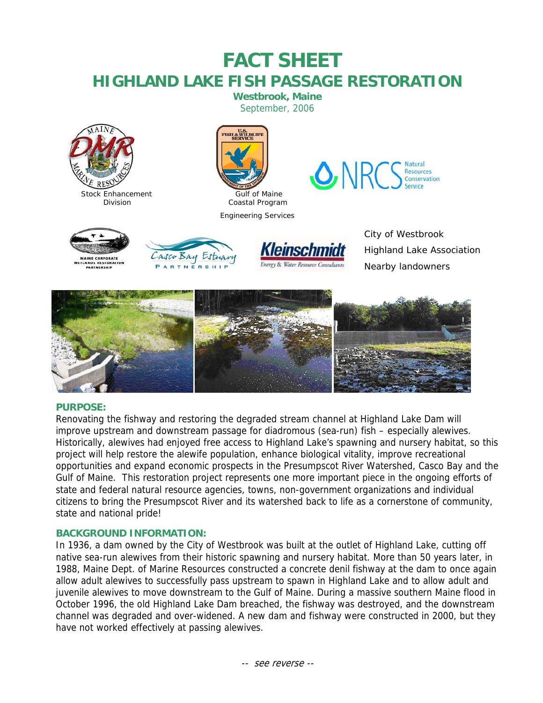# **FACT SHEET HIGHLAND LAKE FISH PASSAGE RESTORATION**

**Westbrook, Maine**  September, 2006





Engineering Services



ANDS RESTOR<br>PARTNERSHIF



City of Westbrook Highland Lake Association Nearby landowners



# **PURPOSE:**

Renovating the fishway and restoring the degraded stream channel at Highland Lake Dam will improve upstream and downstream passage for diadromous (sea-run) fish – especially alewives. Historically, alewives had enjoyed free access to Highland Lake's spawning and nursery habitat, so this project will help restore the alewife population, enhance biological vitality, improve recreational opportunities and expand economic prospects in the Presumpscot River Watershed, Casco Bay and the Gulf of Maine. This restoration project represents one more important piece in the ongoing efforts of state and federal natural resource agencies, towns, non-government organizations and individual citizens to bring the Presumpscot River and its watershed back to life as a cornerstone of community, state and national pride!

# **BACKGROUND INFORMATION:**

In 1936, a dam owned by the City of Westbrook was built at the outlet of Highland Lake, cutting off native sea-run alewives from their historic spawning and nursery habitat. More than 50 years later, in 1988, Maine Dept. of Marine Resources constructed a concrete denil fishway at the dam to once again allow adult alewives to successfully pass upstream to spawn in Highland Lake and to allow adult and juvenile alewives to move downstream to the Gulf of Maine. During a massive southern Maine flood in October 1996, the old Highland Lake Dam breached, the fishway was destroyed, and the downstream channel was degraded and over-widened. A new dam and fishway were constructed in 2000, but they have not worked effectively at passing alewives.